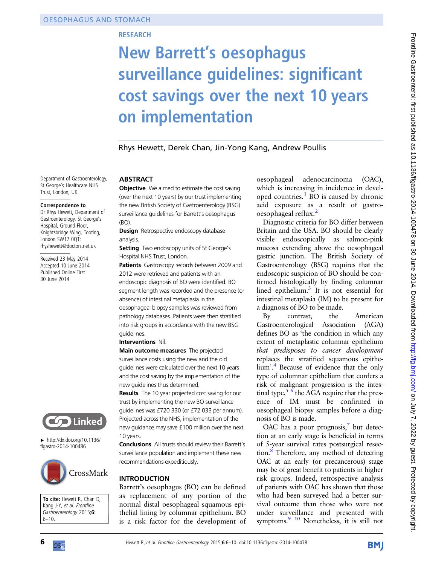# **RESEARCH**

# New Barrett's oesophagus surveillance guidelines: significant cost savings over the next 10 years on implementation

Rhys Hewett, Derek Chan, Jin-Yong Kang, Andrew Poullis

Department of Gastroenterology, St George's Healthcare NHS Trust, London, UK

#### Correspondence to

Dr Rhys Hewett, Department of Gastroenterology, St George's Hospital, Ground Floor, Knightsbridge Wing, Tooting, London SW17 0QT; rhyshewett@doctors.net.uk

Received 23 May 2014 Accepted 10 June 2014 Published Online First 30 June 2014



▸ [http://dx.doi.org/10.1136/](http://dx.doi.org/10.1136/flgastro-2014-100486) [flgastro-2014-100486](http://dx.doi.org/10.1136/flgastro-2014-100486)



To cite: Hewett R, Chan D, Kang J-Y, et al. Frontline Gastroenterology 2015;6: 6–10.

#### **ABSTRACT**

Objective We aimed to estimate the cost saving (over the next 10 years) by our trust implementing the new British Society of Gastroenterology (BSG) surveillance guidelines for Barrett's oesophagus (BO).

**Design** Retrospective endoscopy database analysis.

**Setting** Two endoscopy units of St George's Hospital NHS Trust, London.

Patients Gastroscopy records between 2009 and 2012 were retrieved and patients with an endoscopic diagnosis of BO were identified. BO segment length was recorded and the presence (or absence) of intestinal metaplasia in the oesophageal biopsy samples was reviewed from pathology databases. Patients were then stratified into risk groups in accordance with the new BSG guidelines.

#### Interventions Nil.

Main outcome measures The projected surveillance costs using the new and the old guidelines were calculated over the next 10 years and the cost saving by the implementation of the new guidelines thus determined.

**Results** The 10 year projected cost saving for our trust by implementing the new BO surveillance guidelines was £720 330 (or £72 033 per annum). Projected across the NHS, implementation of the new guidance may save £100 million over the next 10 years.

Conclusions All trusts should review their Barrett's surveillance population and implement these new recommendations expeditiously.

#### **INTRODUCTION**

Barrett's oesophagus (BO) can be defined as replacement of any portion of the normal distal oesophageal squamous epithelial lining by columnar epithelium. BO is a risk factor for the development of oesophageal adenocarcinoma (OAC), which is increasing in incidence in devel-oped countries.<sup>[1](#page-4-0)</sup> BO is caused by chronic acid exposure as a result of gastrooesophageal reflux.[2](#page-4-0)

Diagnostic criteria for BO differ between Britain and the USA. BO should be clearly visible endoscopically as salmon-pink mucosa extending above the oesophageal gastric junction. The British Society of Gastroenterology (BSG) requires that the endoscopic suspicion of BO should be confirmed histologically by finding columnar lined epithelium. $3$  It is not essential for intestinal metaplasia (IM) to be present for a diagnosis of BO to be made.

By contrast, the American Gastroenterological Association (AGA) defines BO as 'the condition in which any extent of metaplastic columnar epithelium that predisposes to cancer development replaces the stratified squamous epithelium'. [4](#page-4-0) Because of evidence that the only type of columnar epithelium that confers a risk of malignant progression is the intestinal type,  $5/6$  the AGA require that the presence of IM must be confirmed in oesophageal biopsy samples before a diagnosis of BO is made.

OAC has a poor prognosis, $\sqrt{2}$  but detection at an early stage is beneficial in terms of 5-year survival rates postsurgical resection.[8](#page-4-0) Therefore, any method of detecting OAC at an early (or precancerous) stage may be of great benefit to patients in higher risk groups. Indeed, retrospective analysis of patients with OAC has shown that those who had been surveyed had a better survival outcome than those who were not under surveillance and presented with symptoms.<sup>9</sup> <sup>10</sup> Nonetheless, it is still not



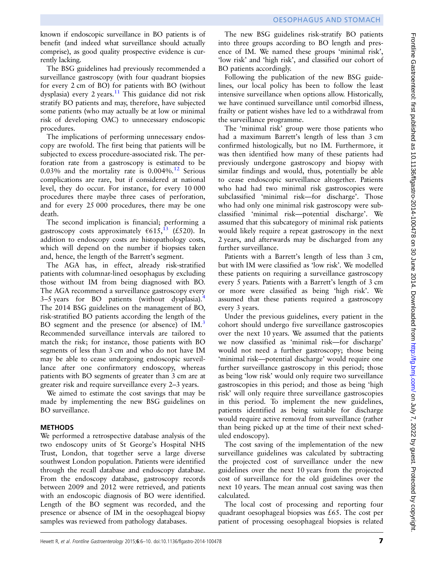known if endoscopic surveillance in BO patients is of benefit (and indeed what surveillance should actually comprise), as good quality prospective evidence is currently lacking.

The BSG guidelines had previously recommended a surveillance gastroscopy (with four quadrant biopsies for every 2 cm of BO) for patients with BO (without dysplasia) every 2 years.<sup>11</sup> This guidance did not risk stratify BO patients and may, therefore, have subjected some patients (who may actually be at low or minimal risk of developing OAC) to unnecessary endoscopic procedures.

The implications of performing unnecessary endoscopy are twofold. The first being that patients will be subjected to excess procedure-associated risk. The perforation rate from a gastroscopy is estimated to be  $0.03\%$  and the mortality rate is  $0.004\%$ .<sup>[12](#page-4-0)</sup> Serious complications are rare, but if considered at national level, they do occur. For instance, for every 10 000 procedures there maybe three cases of perforation, and for every 25 000 procedures, there may be one death.

The second implication is financial; performing a gastroscopy costs approximately  $6615$ ,<sup>[13](#page-4-0)</sup> (£520). In addition to endoscopy costs are histopathology costs, which will depend on the number if biopsies taken and, hence, the length of the Barrett's segment.

The AGA has, in effect, already risk-stratified patients with columnar-lined oesophagus by excluding those without IM from being diagnosed with BO. The AGA recommend a surveillance gastroscopy every  $3-5$  years for BO patients (without dysplasia).<sup>[4](#page-4-0)</sup> The 2014 BSG guidelines on the management of BO, risk-stratified BO patients according the length of the BO segment and the presence (or absence) of IM.<sup>[3](#page-4-0)</sup> Recommended surveillance intervals are tailored to match the risk; for instance, those patients with BO segments of less than 3 cm and who do not have IM may be able to cease undergoing endoscopic surveillance after one confirmatory endoscopy, whereas patients with BO segments of greater than 3 cm are at greater risk and require surveillance every 2–3 years.

We aimed to estimate the cost savings that may be made by implementing the new BSG guidelines on BO surveillance.

We performed a retrospective database analysis of the two endoscopy units of St George's Hospital NHS Trust, London, that together serve a large diverse southwest London population. Patients were identified through the recall database and endoscopy database. From the endoscopy database, gastroscopy records between 2009 and 2012 were retrieved, and patients with an endoscopic diagnosis of BO were identified. Length of the BO segment was recorded, and the presence or absence of IM in the oesophageal biopsy samples was reviewed from pathology databases.

The new BSG guidelines risk-stratify BO patients into three groups according to BO length and presence of IM. We named these groups 'minimal risk', 'low risk' and 'high risk', and classified our cohort of BO patients accordingly.

Following the publication of the new BSG guidelines, our local policy has been to follow the least intensive surveillance when options allow. Historically, we have continued surveillance until comorbid illness, frailty or patient wishes have led to a withdrawal from the surveillance programme.

The 'minimal risk' group were those patients who had a maximum Barrett's length of less than 3 cm confirmed histologically, but no IM. Furthermore, it was then identified how many of these patients had previously undergone gastroscopy and biopsy with similar findings and would, thus, potentially be able to cease endoscopic surveillance altogether. Patients who had had two minimal risk gastroscopies were subclassified 'minimal risk—for discharge'. Those who had only one minimal risk gastroscopy were subclassified 'minimal risk—potential discharge'. We assumed that this subcategory of minimal risk patients would likely require a repeat gastroscopy in the next 2 years, and afterwards may be discharged from any further surveillance.

Patients with a Barrett's length of less than 3 cm, but with IM were classified as 'low risk'. We modelled these patients on requiring a surveillance gastroscopy every 5 years. Patients with a Barrett's length of 3 cm or more were classified as being 'high risk'. We assumed that these patients required a gastroscopy every 3 years.

Under the previous guidelines, every patient in the cohort should undergo five surveillance gastroscopies over the next 10 years. We assumed that the patients we now classified as 'minimal risk—for discharge' would not need a further gastroscopy; those being 'minimal risk—potential discharge' would require one further surveillance gastroscopy in this period; those as being 'low risk' would only require two surveillance gastroscopies in this period; and those as being 'high risk' will only require three surveillance gastroscopies in this period. To implement the new guidelines, patients identified as being suitable for discharge would require active removal from surveillance (rather than being picked up at the time of their next scheduled endoscopy).

The cost saving of the implementation of the new surveillance guidelines was calculated by subtracting the projected cost of surveillance under the new guidelines over the next 10 years from the projected cost of surveillance for the old guidelines over the next 10 years. The mean annual cost saving was then calculated.

The local cost of processing and reporting four quadrant oesophageal biopsies was £65. The cost per patient of processing oesophageal biopsies is related Frontline Gastroenterol: first published as 10.11136/flgastro-2014-100478 on 30 June 2014. Downloaded from http://fg.bmj.com/ on July 7, 2022 by guest. Protected by copyright Frontline Gastroenterol: first published as 10.1136/flgastro-2014-100478 on 30 June 2014. Downloaded from http://tg.bmj.com/ on July 7, 2022 by guest. Protected by copyright.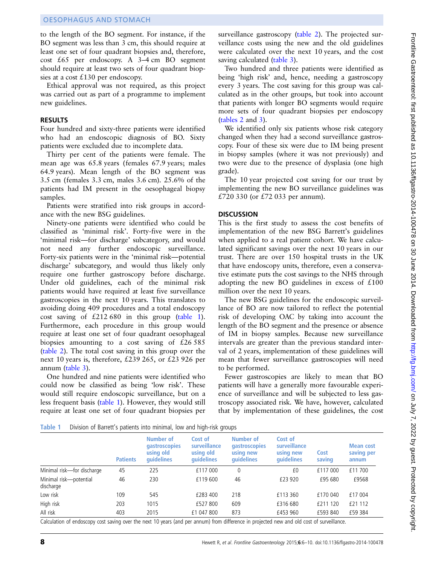#### OESOPHAGUS AND STOMACH

to the length of the BO segment. For instance, if the BO segment was less than 3 cm, this should require at least one set of four quadrant biopsies and, therefore, cost £65 per endoscopy. A 3–4 cm BO segment should require at least two sets of four quadrant biopsies at a cost £130 per endoscopy.

Ethical approval was not required, as this project was carried out as part of a programme to implement new guidelines.

#### **RESULTS**

Four hundred and sixty-three patients were identified who had an endoscopic diagnosis of BO. Sixty patients were excluded due to incomplete data.

Thirty per cent of the patients were female. The mean age was 65.8 years (females 67.9 years; males 64.9 years). Mean length of the BO segment was 3.5 cm (females 3.3 cm, males 3.6 cm). 25.6% of the patients had IM present in the oesophageal biopsy samples.

Patients were stratified into risk groups in accordance with the new BSG guidelines.

Ninety-one patients were identified who could be classified as 'minimal risk'. Forty-five were in the 'minimal risk—for discharge' subcategory, and would not need any further endoscopic surveillance. Forty-six patients were in the 'minimal risk—potential discharge' subcategory, and would thus likely only require one further gastroscopy before discharge. Under old guidelines, each of the minimal risk patients would have required at least five surveillance gastroscopies in the next 10 years. This translates to avoiding doing 409 procedures and a total endoscopy cost saving of £212 680 in this group (table 1). Furthermore, each procedure in this group would require at least one set of four quadrant oesophageal biopsies amounting to a cost saving of £26 585 ([table 2\)](#page-3-0). The total cost saving in this group over the next 10 years is, therefore, £239 265, or £23 926 per annum [\(table 3](#page-3-0)).

One hundred and nine patients were identified who could now be classified as being 'low risk'. These would still require endoscopic surveillance, but on a less frequent basis (table 1). However, they would still require at least one set of four quadrant biopsies per

surveillance gastroscopy [\(table 2\)](#page-3-0). The projected surveillance costs using the new and the old guidelines were calculated over the next 10 years, and the cost saving calculated ([table 3\)](#page-3-0).

Two hundred and three patients were identified as being 'high risk' and, hence, needing a gastroscopy every 3 years. The cost saving for this group was calculated as in the other groups, but took into account that patients with longer BO segments would require more sets of four quadrant biopsies per endoscopy ([tables 2](#page-3-0) and [3\)](#page-3-0).

We identified only six patients whose risk category changed when they had a second surveillance gastroscopy. Four of these six were due to IM being present in biopsy samples (where it was not previously) and two were due to the presence of dysplasia (one high grade).

The 10 year projected cost saving for our trust by implementing the new BO surveillance guidelines was £720 330 (or £72 033 per annum).

### **DISCUSSION**

This is the first study to assess the cost benefits of implementation of the new BSG Barrett's guidelines when applied to a real patient cohort. We have calculated significant savings over the next 10 years in our trust. There are over 150 hospital trusts in the UK that have endoscopy units, therefore, even a conservative estimate puts the cost savings to the NHS through adopting the new BO guidelines in excess of £100 million over the next 10 years.

The new BSG guidelines for the endoscopic surveillance of BO are now tailored to reflect the potential risk of developing OAC by taking into account the length of the BO segment and the presence or absence of IM in biopsy samples. Because new surveillance intervals are greater than the previous standard interval of 2 years, implementation of these guidelines will mean that fewer surveillance gastroscopies will need to be performed.

Fewer gastroscopies are likely to mean that BO patients will have a generally more favourable experience of surveillance and will be subjected to less gastroscopy associated risk. We have, however, calculated that by implementation of these guidelines, the cost

Table 1 Division of Barrett's patients into minimal, low and high-risk groups

|                                     | <b>Patients</b> | <b>Number of</b><br><b>gastroscopies</b><br>using old<br>quidelines | Cost of<br>surveillance<br>using old<br><b>quidelines</b> | Number of<br><b>gastroscopies</b><br>using new<br>quidelines | Cost of<br>surveillance<br>using new<br>quidelines | Cost<br>saving | <b>Mean cost</b><br>saving per<br>annum |
|-------------------------------------|-----------------|---------------------------------------------------------------------|-----------------------------------------------------------|--------------------------------------------------------------|----------------------------------------------------|----------------|-----------------------------------------|
| Minimal risk-for discharge          | 45              | 225                                                                 | £117 000                                                  | 0                                                            | £0                                                 | £117 000       | £11700                                  |
| Minimal risk-potential<br>discharge | 46              | 230                                                                 | £119 600                                                  | 46                                                           | £23 920                                            | £95 680        | £9568                                   |
| Low risk                            | 109             | 545                                                                 | £283 400                                                  | 218                                                          | £113 360                                           | £170 040       | £17 004                                 |
| High risk                           | 203             | 1015                                                                | £527 800                                                  | 609                                                          | £316 680                                           | £211 120       | £21 112                                 |
| All risk                            | 403             | 2015                                                                | £1 047 800                                                | 873                                                          | £453 960                                           | £593 840       | £59 384                                 |
| .                                   |                 | .                                                                   | $\sim$                                                    | 1.00                                                         | $\mathbf{r}$ and $\mathbf{r}$ and $\mathbf{r}$     |                |                                         |

Calculation of endoscopy cost saving over the next 10 years (and per annum) from difference in projected new and old cost of surveillance.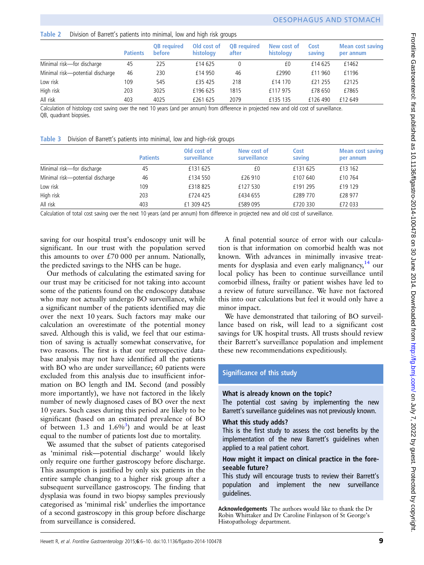# <span id="page-3-0"></span>Table 2 Division of Barrett's patients into minimal, low and high risk groups

|                                  | <b>Patients</b> | <b>QB</b> required<br><b>before</b> | Old cost of<br>histology | <b>QB</b> required<br>after | New cost of<br>histology | Cost<br>saving | <b>Mean cost saving</b><br>per annum |
|----------------------------------|-----------------|-------------------------------------|--------------------------|-----------------------------|--------------------------|----------------|--------------------------------------|
| Minimal risk-for discharge       | 45              | 225                                 | £14 625                  | $^{0}$                      | £0                       | £14 625        | £1462                                |
| Minimal risk-potential discharge | 46              | 230                                 | £14 950                  | 46                          | £2990                    | £11960         | £1196                                |
| Low risk                         | 109             | 545                                 | £35 425                  | 218                         | £14 170                  | £21 255        | £2125                                |
| High risk                        | 203             | 3025                                | £196 625                 | 1815                        | £117 975                 | £78 650        | £7865                                |
| All risk                         | 403             | 4025                                | £261 625                 | 2079                        | £135 135                 | £126 490       | £12 649                              |

Calculation of histology cost saving over the next 10 years (and per annum) from difference in projected new and old cost of surveillance. QB, quadrant biopsies.

|  | Table 3 Division of Barrett's patients into minimal, low and high-risk groups |  |  |  |  |  |  |  |  |
|--|-------------------------------------------------------------------------------|--|--|--|--|--|--|--|--|
|--|-------------------------------------------------------------------------------|--|--|--|--|--|--|--|--|

|                                  | <b>Patients</b> | Old cost of<br>surveillance | New cost of<br>surveillance | Cost<br>saving | <b>Mean cost saving</b><br>per annum |
|----------------------------------|-----------------|-----------------------------|-----------------------------|----------------|--------------------------------------|
| Minimal risk-for discharge       | 45              | £131 625                    | £0                          | £131 625       | £13 162                              |
| Minimal risk-potential discharge | 46              | £134 550                    | £26 910                     | £107 640       | £10764                               |
| Low risk                         | 109             | £318825                     | £127 530                    | £191 295       | £19 129                              |
| High risk                        | 203             | £724 425                    | £434 655                    | £289770        | £28 977                              |
| All risk                         | 403             | £1 309 425                  | £589 095                    | £720 330       | £72 033                              |
|                                  |                 |                             |                             |                |                                      |

Calculation of total cost saving over the next 10 years (and per annum) from difference in projected new and old cost of surveillance.

saving for our hospital trust's endoscopy unit will be significant. In our trust with the population served this amounts to over  $£70000$  per annum. Nationally, the predicted savings to the NHS can be huge.

Our methods of calculating the estimated saving for our trust may be criticised for not taking into account some of the patients found on the endoscopy database who may not actually undergo BO surveillance, while a significant number of the patients identified may die over the next 10 years. Such factors may make our calculation an overestimate of the potential money saved. Although this is valid, we feel that our estimation of saving is actually somewhat conservative, for two reasons. The first is that our retrospective database analysis may not have identified all the patients with BO who are under surveillance; 60 patients were excluded from this analysis due to insufficient information on BO length and IM. Second (and possibly more importantly), we have not factored in the likely number of newly diagnosed cases of BO over the next 10 years. Such cases during this period are likely to be significant (based on an estimated prevalence of BO of between 1.[3](#page-4-0) and  $1.6\%$ <sup>3</sup>) and would be at least equal to the number of patients lost due to mortality.

We assumed that the subset of patients categorised as 'minimal risk—potential discharge' would likely only require one further gastroscopy before discharge. This assumption is justified by only six patients in the entire sample changing to a higher risk group after a subsequent surveillance gastroscopy. The finding that dysplasia was found in two biopsy samples previously categorised as 'minimal risk' underlies the importance of a second gastroscopy in this group before discharge from surveillance is considered.

A final potential source of error with our calculation is that information on comorbid health was not known. With advances in minimally invasive treatments for dysplasia and even early malignancy,  $14$  our local policy has been to continue surveillance until comorbid illness, frailty or patient wishes have led to a review of future surveillance. We have not factored this into our calculations but feel it would only have a minor impact.

We have demonstrated that tailoring of BO surveillance based on risk, will lead to a significant cost savings for UK hospital trusts. All trusts should review their Barrett's surveillance population and implement these new recommendations expeditiously.

# Significance of this study

# What is already known on the topic?

The potential cost saving by implementing the new Barrett's surveillance guidelines was not previously known.

# What this study adds?

This is the first study to assess the cost benefits by the implementation of the new Barrett's guidelines when applied to a real patient cohort.

### How might it impact on clinical practice in the foreseeable future?

This study will encourage trusts to review their Barrett's population and implement the new surveillance guidelines.

Acknowledgements The authors would like to thank the Dr Robin Whittaker and Dr Caroline Finlayson of St George's Histopathology department.